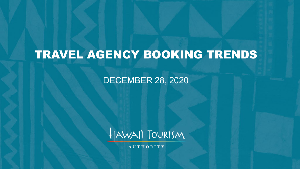# TRAVEL AGENCY BOOKING TRENDS

### DECEMBER 28, 2020



AUTHORITY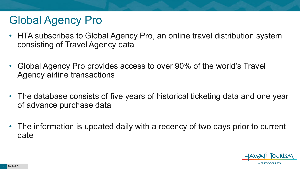# Global Agency Pro

- HTA subscribes to Global Agency Pro, an online travel distribution system consisting of Travel Agency data
- Global Agency Pro provides access to over 90% of the world's Travel Agency airline transactions
- The database consists of five years of historical ticketing data and one year of advance purchase data
- The information is updated daily with a recency of two days prior to current date

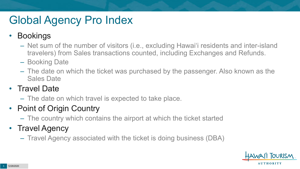# Global Agency Pro Index

### • Bookings

- Net sum of the number of visitors (i.e., excluding Hawai'i residents and inter-island travelers) from Sales transactions counted, including Exchanges and Refunds.
- Booking Date
- The date on which the ticket was purchased by the passenger. Also known as the Sales Date

### • Travel Date

– The date on which travel is expected to take place.

## • Point of Origin Country

– The country which contains the airport at which the ticket started

## • Travel Agency

– Travel Agency associated with the ticket is doing business (DBA)

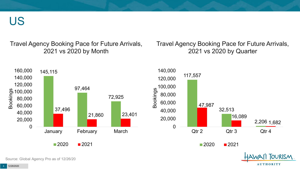US

Travel Agency Booking Pace for Future Arrivals, 2021 vs 2020 by Month

Travel Agency Booking Pace for Future Arrivals, 2021 vs 2020 by Quarter

**AUTHORITY** 



Source: Global Agency Pro as of 12/26/20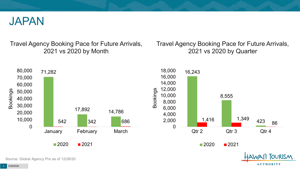

Travel Agency Booking Pace for Future Arrivals, 2021 vs 2020 by Month

Travel Agency Booking Pace for Future Arrivals, 2021 vs 2020 by Quarter

**AUTHORITY** 



Source: Global Agency Pro as of 12/26/20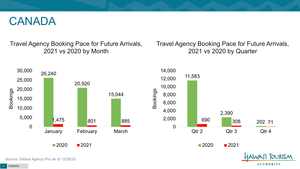## CANADA

Travel Agency Booking Pace for Future Arrivals, 2021 vs 2020 by Month

Travel Agency Booking Pace for Future Arrivals, 2021 vs 2020 by Quarter



Source: Global Agency Pro as of 12/26/20

**AUTHORITY**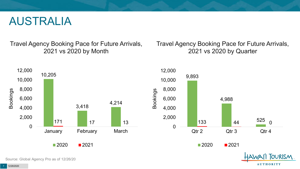## AUSTRALIA

Travel Agency Booking Pace for Future Arrivals, 2021 vs 2020 by Month

Travel Agency Booking Pace for Future Arrivals, 2021 vs 2020 by Quarter

**AUTHORITY** 



Source: Global Agency Pro as of 12/26/20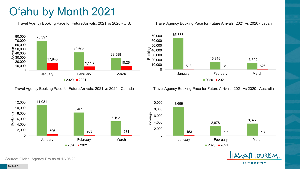# O'ahu by Month 2021

Travel Agency Booking Pace for Future Arrivals, 2021 vs 2020 - U.S.



Travel Agency Booking Pace for Future Arrivals, 2021 vs 2020 - Canada



Source: Global Agency Pro as of 12/26/20

Travel Agency Booking Pace for Future Arrivals, 2021 vs 2020 - Japan



Travel Agency Booking Pace for Future Arrivals, 2021 vs 2020 - Australia



**TOURISM AUTHORITY**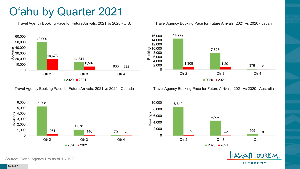# O'ahu by Quarter 2021

Travel Agency Booking Pace for Future Arrivals, 2021 vs 2020 - U.S.



Travel Agency Booking Pace for Future Arrivals, 2021 vs 2020 - Canada





Travel Agency Booking Pace for Future Arrivals, 2021 vs 2020 - Australia





**TOURISM AUTHORITY** 

Source: Global Agency Pro as of 12/26/20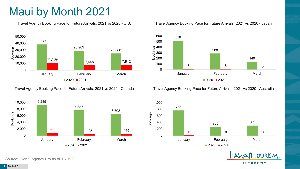# Maui by Month 2021

Travel Agency Booking Pace for Future Arrivals, 2021 vs 2020 - U.S.



Travel Agency Booking Pace for Future Arrivals, 2021 vs 2020 - Canada



Source: Global Agency Pro as of 12/26/20

#### Travel Agency Booking Pace for Future Arrivals, 2021 vs 2020 - Japan



Travel Agency Booking Pace for Future Arrivals, 2021 vs 2020 - Australia



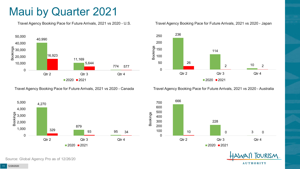## Maui by Quarter 2021

Travel Agency Booking Pace for Future Arrivals, 2021 vs 2020 - U.S.



Travel Agency Booking Pace for Future Arrivals, 2021 vs 2020 - Canada





Travel Agency Booking Pace for Future Arrivals, 2021 vs 2020 - Australia





**TOURISM AUTHORITY** 

Source: Global Agency Pro as of 12/26/20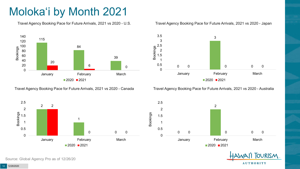# Moloka'i by Month 2021

Travel Agency Booking Pace for Future Arrivals, 2021 vs 2020 - U.S.



Travel Agency Booking Pace for Future Arrivals, 2021 vs 2020 - Canada





Travel Agency Booking Pace for Future Arrivals, 2021 vs 2020 - Australia



 $\Omega$  0 0 0 0.5 1.5 2.5 January **February** February March

2021



Source: Global Agency Pro as of 12/26/20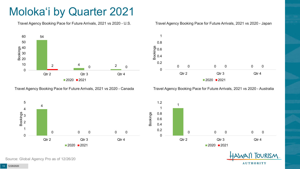# Moloka'i by Quarter 2021

Travel Agency Booking Pace for Future Arrivals, 2021 vs 2020 - U.S.



Travel Agency Booking Pace for Future Arrivals, 2021 vs 2020 - Canada

 $2020$  2021





Travel Agency Booking Pace for Future Arrivals, 2021 vs 2020 - Australia





Source: Global Agency Pro as of 12/26/20

0

4

5

4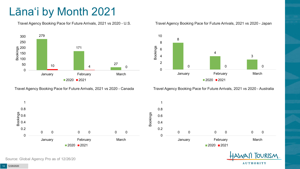# Lāna'i by Month 2021

Travel Agency Booking Pace for Future Arrivals, 2021 vs 2020 - U.S.



Travel Agency Booking Pace for Future Arrivals, 2021 vs 2020 - Canada





Travel Agency Booking Pace for Future Arrivals, 2021 vs 2020 - Australia

**AUTHORITY** 



Source: Global Agency Pro as of 12/26/20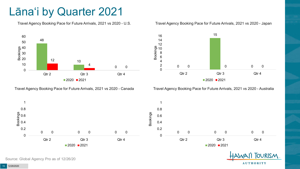# Lāna'i by Quarter 2021

Travel Agency Booking Pace for Future Arrivals, 2021 vs 2020 - U.S.



Travel Agency Booking Pace for Future Arrivals, 2021 vs 2020 - Canada





Travel Agency Booking Pace for Future Arrivals, 2021 vs 2020 - Australia



**TOURISM AUTHORITY** 

Source: Global Agency Pro as of 12/26/20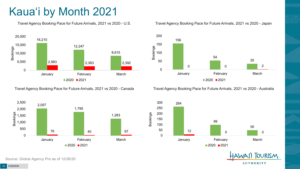# Kaua'i by Month 2021

Travel Agency Booking Pace for Future Arrivals, 2021 vs 2020 - U.S.



Travel Agency Booking Pace for Future Arrivals, 2021 vs 2020 - Canada



#### Travel Agency Booking Pace for Future Arrivals, 2021 vs 2020 - Japan



Travel Agency Booking Pace for Future Arrivals, 2021 vs 2020 - Australia



**TOURISM AUTHORITY** 

Source: Global Agency Pro as of 12/26/20

12/28/2020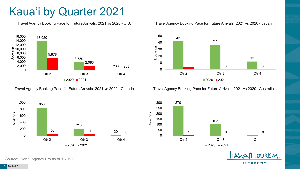# Kaua'i by Quarter 2021

Travel Agency Booking Pace for Future Arrivals, 2021 vs 2020 - U.S.



Travel Agency Booking Pace for Future Arrivals, 2021 vs 2020 - Canada





Travel Agency Booking Pace for Future Arrivals, 2021 vs 2020 - Australia





**TOURISM AUTHORITY** 

Source: Global Agency Pro as of 12/26/20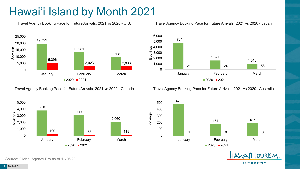# Hawai'i Island by Month 2021

Travel Agency Booking Pace for Future Arrivals, 2021 vs 2020 - U.S.



Travel Agency Booking Pace for Future Arrivals, 2021 vs 2020 - Canada



Source: Global Agency Pro as of 12/26/20

Travel Agency Booking Pace for Future Arrivals, 2021 vs 2020 - Japan



Travel Agency Booking Pace for Future Arrivals, 2021 vs 2020 - Australia



**TOURISM AUTHORITY**